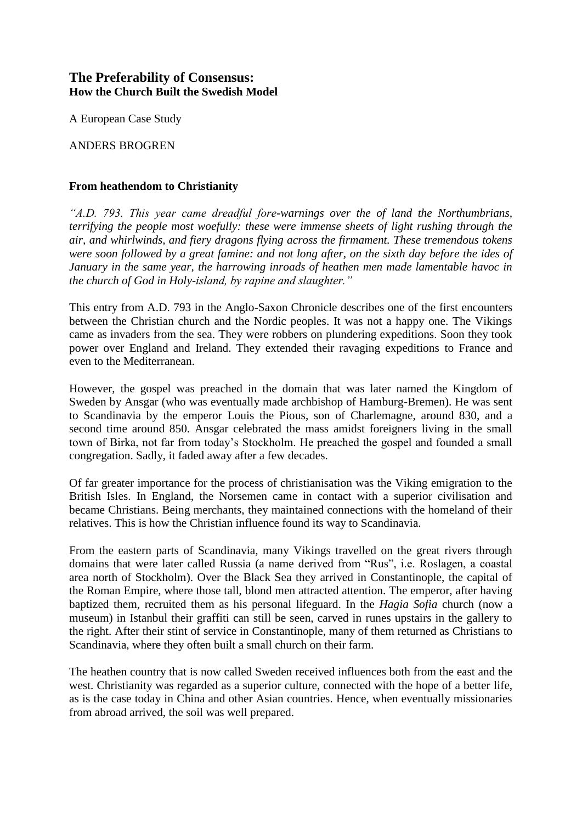# **The Preferability of Consensus: How the Church Built the Swedish Model**

A European Case Study

ANDERS BROGREN

## **From heathendom to Christianity**

*"A.D. 793. This year came dreadful fore-warnings over the of land the Northumbrians, terrifying the people most woefully: these were immense sheets of light rushing through the air, and whirlwinds, and fiery dragons flying across the firmament. These tremendous tokens were soon followed by a great famine: and not long after, on the sixth day before the ides of January in the same year, the harrowing inroads of heathen men made lamentable havoc in the church of God in Holy-island, by rapine and slaughter."*

This entry from A.D. 793 in the Anglo-Saxon Chronicle describes one of the first encounters between the Christian church and the Nordic peoples. It was not a happy one. The Vikings came as invaders from the sea. They were robbers on plundering expeditions. Soon they took power over England and Ireland. They extended their ravaging expeditions to France and even to the Mediterranean.

However, the gospel was preached in the domain that was later named the Kingdom of Sweden by Ansgar (who was eventually made archbishop of Hamburg-Bremen). He was sent to Scandinavia by the emperor Louis the Pious, son of Charlemagne, around 830, and a second time around 850. Ansgar celebrated the mass amidst foreigners living in the small town of Birka, not far from today's Stockholm. He preached the gospel and founded a small congregation. Sadly, it faded away after a few decades.

Of far greater importance for the process of christianisation was the Viking emigration to the British Isles. In England, the Norsemen came in contact with a superior civilisation and became Christians. Being merchants, they maintained connections with the homeland of their relatives. This is how the Christian influence found its way to Scandinavia.

From the eastern parts of Scandinavia, many Vikings travelled on the great rivers through domains that were later called Russia (a name derived from "Rus", i.e. Roslagen, a coastal area north of Stockholm). Over the Black Sea they arrived in Constantinople, the capital of the Roman Empire, where those tall, blond men attracted attention. The emperor, after having baptized them, recruited them as his personal lifeguard. In the *Hagia Sofia* church (now a museum) in Istanbul their graffiti can still be seen, carved in runes upstairs in the gallery to the right. After their stint of service in Constantinople, many of them returned as Christians to Scandinavia, where they often built a small church on their farm.

The heathen country that is now called Sweden received influences both from the east and the west. Christianity was regarded as a superior culture, connected with the hope of a better life, as is the case today in China and other Asian countries. Hence, when eventually missionaries from abroad arrived, the soil was well prepared.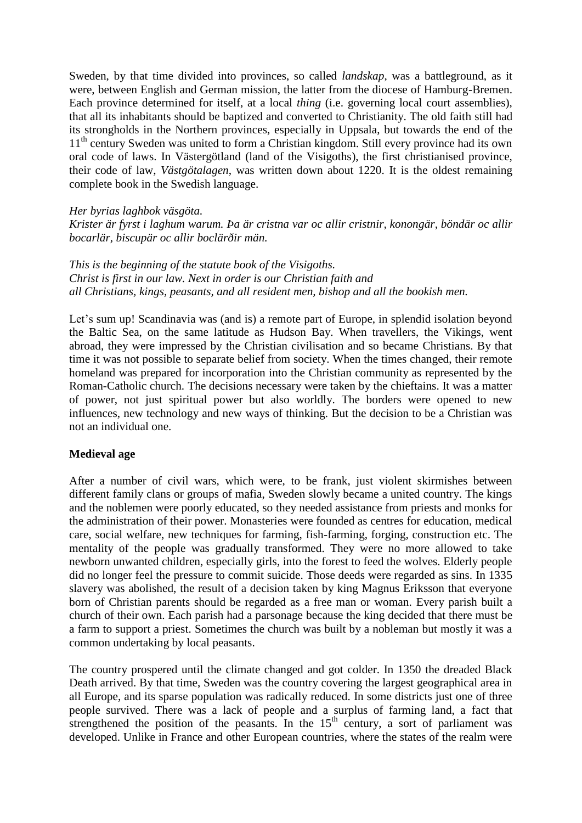Sweden, by that time divided into provinces, so called *landskap*, was a battleground, as it were, between English and German mission, the latter from the diocese of Hamburg-Bremen. Each province determined for itself, at a local *thing* (i.e. governing local court assemblies), that all its inhabitants should be baptized and converted to Christianity. The old faith still had its strongholds in the Northern provinces, especially in Uppsala, but towards the end of the 11<sup>th</sup> century Sweden was united to form a Christian kingdom. Still every province had its own oral code of laws. In Västergötland (land of the Visigoths), the first christianised province, their code of law, *Västgötalagen*, was written down about 1220. It is the oldest remaining complete book in the Swedish language.

#### *Her byrias laghbok väsgöta.*

*Krister är fyrst i laghum warum. Þa är cristna var oc allir cristnir, konongär, böndär oc allir bocarlär, biscupär oc allir boclärðir män.*

*This is the beginning of the statute book of the Visigoths. Christ is first in our law. Next in order is our Christian faith and all Christians, kings, peasants, and all resident men, bishop and all the bookish men.*

Let's sum up! Scandinavia was (and is) a remote part of Europe, in splendid isolation beyond the Baltic Sea, on the same latitude as Hudson Bay. When travellers, the Vikings, went abroad, they were impressed by the Christian civilisation and so became Christians. By that time it was not possible to separate belief from society. When the times changed, their remote homeland was prepared for incorporation into the Christian community as represented by the Roman-Catholic church. The decisions necessary were taken by the chieftains. It was a matter of power, not just spiritual power but also worldly. The borders were opened to new influences, new technology and new ways of thinking. But the decision to be a Christian was not an individual one.

### **Medieval age**

After a number of civil wars, which were, to be frank, just violent skirmishes between different family clans or groups of mafia, Sweden slowly became a united country. The kings and the noblemen were poorly educated, so they needed assistance from priests and monks for the administration of their power. Monasteries were founded as centres for education, medical care, social welfare, new techniques for farming, fish-farming, forging, construction etc. The mentality of the people was gradually transformed. They were no more allowed to take newborn unwanted children, especially girls, into the forest to feed the wolves. Elderly people did no longer feel the pressure to commit suicide. Those deeds were regarded as sins. In 1335 slavery was abolished, the result of a decision taken by king Magnus Eriksson that everyone born of Christian parents should be regarded as a free man or woman. Every parish built a church of their own. Each parish had a parsonage because the king decided that there must be a farm to support a priest. Sometimes the church was built by a nobleman but mostly it was a common undertaking by local peasants.

The country prospered until the climate changed and got colder. In 1350 the dreaded Black Death arrived. By that time, Sweden was the country covering the largest geographical area in all Europe, and its sparse population was radically reduced. In some districts just one of three people survived. There was a lack of people and a surplus of farming land, a fact that strengthened the position of the peasants. In the  $15<sup>th</sup>$  century, a sort of parliament was developed. Unlike in France and other European countries, where the states of the realm were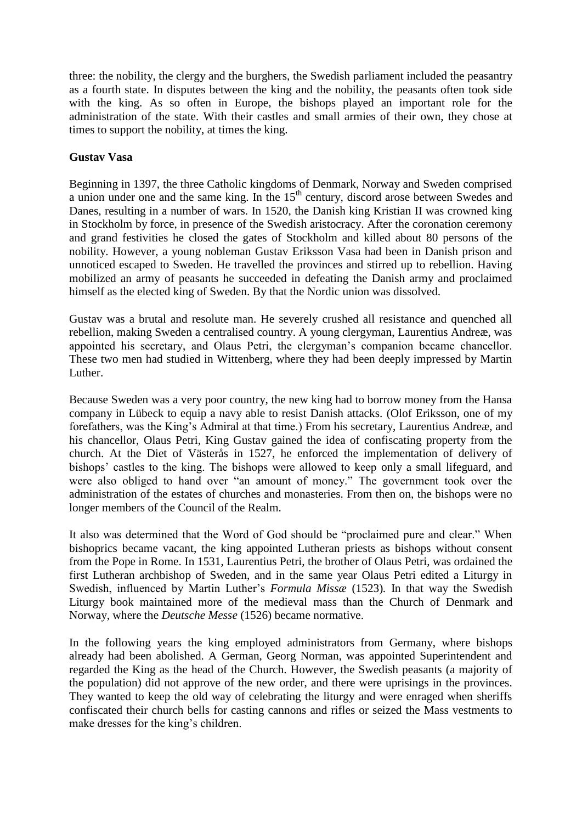three: the nobility, the clergy and the burghers, the Swedish parliament included the peasantry as a fourth state. In disputes between the king and the nobility, the peasants often took side with the king. As so often in Europe, the bishops played an important role for the administration of the state. With their castles and small armies of their own, they chose at times to support the nobility, at times the king.

### **Gustav Vasa**

Beginning in 1397, the three Catholic kingdoms of Denmark, Norway and Sweden comprised a union under one and the same king. In the  $15<sup>th</sup>$  century, discord arose between Swedes and Danes, resulting in a number of wars. In 1520, the Danish king Kristian II was crowned king in Stockholm by force, in presence of the Swedish aristocracy. After the coronation ceremony and grand festivities he closed the gates of Stockholm and killed about 80 persons of the nobility. However, a young nobleman Gustav Eriksson Vasa had been in Danish prison and unnoticed escaped to Sweden. He travelled the provinces and stirred up to rebellion. Having mobilized an army of peasants he succeeded in defeating the Danish army and proclaimed himself as the elected king of Sweden. By that the Nordic union was dissolved.

Gustav was a brutal and resolute man. He severely crushed all resistance and quenched all rebellion, making Sweden a centralised country. A young clergyman, Laurentius Andreæ, was appointed his secretary, and Olaus Petri, the clergyman's companion became chancellor. These two men had studied in Wittenberg, where they had been deeply impressed by Martin Luther.

Because Sweden was a very poor country, the new king had to borrow money from the Hansa company in Lübeck to equip a navy able to resist Danish attacks. (Olof Eriksson, one of my forefathers, was the King's Admiral at that time.) From his secretary, Laurentius Andreæ, and his chancellor, Olaus Petri, King Gustav gained the idea of confiscating property from the church. At the Diet of Västerås in 1527, he enforced the implementation of delivery of bishops' castles to the king. The bishops were allowed to keep only a small lifeguard, and were also obliged to hand over "an amount of money." The government took over the administration of the estates of churches and monasteries. From then on, the bishops were no longer members of the Council of the Realm.

It also was determined that the Word of God should be "proclaimed pure and clear." When bishoprics became vacant, the king appointed Lutheran priests as bishops without consent from the Pope in Rome. In 1531, Laurentius Petri, the brother of Olaus Petri, was ordained the first Lutheran archbishop of Sweden, and in the same year Olaus Petri edited a Liturgy in Swedish, influenced by Martin Luther's *Formula Missæ* (1523)*.* In that way the Swedish Liturgy book maintained more of the medieval mass than the Church of Denmark and Norway, where the *Deutsche Messe* (1526) became normative.

In the following years the king employed administrators from Germany, where bishops already had been abolished. A German, Georg Norman, was appointed Superintendent and regarded the King as the head of the Church. However, the Swedish peasants (a majority of the population) did not approve of the new order, and there were uprisings in the provinces. They wanted to keep the old way of celebrating the liturgy and were enraged when sheriffs confiscated their church bells for casting cannons and rifles or seized the Mass vestments to make dresses for the king's children.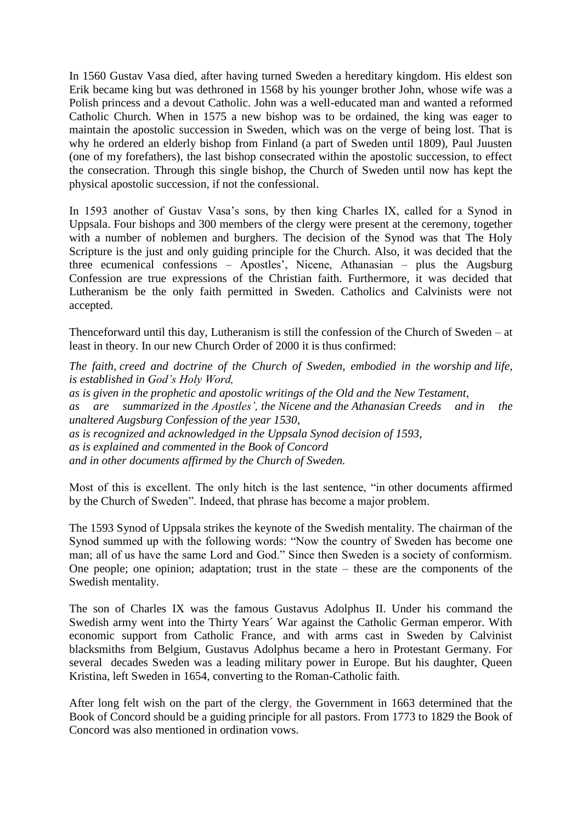In 1560 Gustav Vasa died, after having turned Sweden a hereditary kingdom. His eldest son Erik became king but was dethroned in 1568 by his younger brother John, whose wife was a Polish princess and a devout Catholic. John was a well-educated man and wanted a reformed Catholic Church. When in 1575 a new bishop was to be ordained, the king was eager to maintain the apostolic succession in Sweden, which was on the verge of being lost. That is why he ordered an elderly bishop from Finland (a part of Sweden until 1809), Paul Juusten (one of my forefathers), the last bishop consecrated within the apostolic succession, to effect the consecration. Through this single bishop, the Church of Sweden until now has kept the physical apostolic succession, if not the confessional.

In 1593 another of Gustav Vasa's sons, by then king Charles IX, called for a Synod in Uppsala. Four bishops and 300 members of the clergy were present at the ceremony, together with a number of noblemen and burghers. The decision of the Synod was that The Holy Scripture is the just and only guiding principle for the Church. Also, it was decided that the three ecumenical confessions – Apostles', Nicene, Athanasian – plus the Augsburg Confession are true expressions of the Christian faith. Furthermore, it was decided that Lutheranism be the only faith permitted in Sweden. Catholics and Calvinists were not accepted.

Thenceforward until this day, Lutheranism is still the confession of the Church of Sweden – at least in theory. In our new Church Order of 2000 it is thus confirmed:

*The faith, creed and doctrine of the Church of Sweden, embodied in the worship and life, is established in God's Holy Word, as is given in the prophetic and apostolic writings of the Old and the New Testament, as are summarized in the Apostles', the Nicene and the Athanasian Creeds and in the unaltered Augsburg Confession of the year 1530, as is recognized and acknowledged in the Uppsala Synod decision of 1593, as is explained and commented in the Book of Concord and in other documents affirmed by the Church of Sweden.*

Most of this is excellent. The only hitch is the last sentence, "in other documents affirmed by the Church of Sweden". Indeed, that phrase has become a major problem.

The 1593 Synod of Uppsala strikes the keynote of the Swedish mentality. The chairman of the Synod summed up with the following words: "Now the country of Sweden has become one man; all of us have the same Lord and God." Since then Sweden is a society of conformism. One people; one opinion; adaptation; trust in the state – these are the components of the Swedish mentality.

The son of Charles IX was the famous Gustavus Adolphus II. Under his command the Swedish army went into the Thirty Years´ War against the Catholic German emperor. With economic support from Catholic France, and with arms cast in Sweden by Calvinist blacksmiths from Belgium, Gustavus Adolphus became a hero in Protestant Germany. For several decades Sweden was a leading military power in Europe. But his daughter, Queen Kristina, left Sweden in 1654, converting to the Roman-Catholic faith.

After long felt wish on the part of the clergy, the Government in 1663 determined that the Book of Concord should be a guiding principle for all pastors. From 1773 to 1829 the Book of Concord was also mentioned in ordination vows.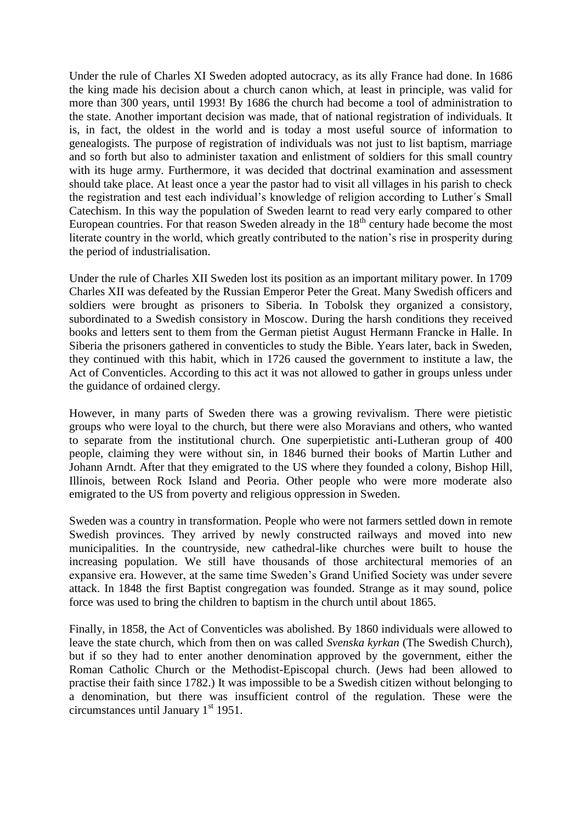Under the rule of Charles XI Sweden adopted autocracy, as its ally France had done. In 1686 the king made his decision about a church canon which, at least in principle, was valid for more than 300 years, until 1993! By 1686 the church had become a tool of administration to the state. Another important decision was made, that of national registration of individuals. It is, in fact, the oldest in the world and is today a most useful source of information to genealogists. The purpose of registration of individuals was not just to list baptism, marriage and so forth but also to administer taxation and enlistment of soldiers for this small country with its huge army. Furthermore, it was decided that doctrinal examination and assessment should take place. At least once a year the pastor had to visit all villages in his parish to check the registration and test each individual's knowledge of religion according to Luther´s Small Catechism. In this way the population of Sweden learnt to read very early compared to other European countries. For that reason Sweden already in the  $18<sup>th</sup>$  century hade become the most literate country in the world, which greatly contributed to the nation's rise in prosperity during the period of industrialisation.

Under the rule of Charles XII Sweden lost its position as an important military power. In 1709 Charles XII was defeated by the Russian Emperor Peter the Great. Many Swedish officers and soldiers were brought as prisoners to Siberia. In Tobolsk they organized a consistory, subordinated to a Swedish consistory in Moscow. During the harsh conditions they received books and letters sent to them from the German pietist August Hermann Francke in Halle. In Siberia the prisoners gathered in conventicles to study the Bible. Years later, back in Sweden, they continued with this habit, which in 1726 caused the government to institute a law, the Act of Conventicles. According to this act it was not allowed to gather in groups unless under the guidance of ordained clergy.

However, in many parts of Sweden there was a growing revivalism. There were pietistic groups who were loyal to the church, but there were also Moravians and others, who wanted to separate from the institutional church. One superpietistic anti-Lutheran group of 400 people, claiming they were without sin, in 1846 burned their books of Martin Luther and Johann Arndt. After that they emigrated to the US where they founded a colony, Bishop Hill, Illinois, between Rock Island and Peoria. Other people who were more moderate also emigrated to the US from poverty and religious oppression in Sweden.

Sweden was a country in transformation. People who were not farmers settled down in remote Swedish provinces. They arrived by newly constructed railways and moved into new municipalities. In the countryside, new cathedral-like churches were built to house the increasing population. We still have thousands of those architectural memories of an expansive era. However, at the same time Sweden's Grand Unified Society was under severe attack. In 1848 the first Baptist congregation was founded. Strange as it may sound, police force was used to bring the children to baptism in the church until about 1865.

Finally, in 1858, the Act of Conventicles was abolished. By 1860 individuals were allowed to leave the state church, which from then on was called *Svenska kyrkan* (The Swedish Church), but if so they had to enter another denomination approved by the government, either the Roman Catholic Church or the Methodist-Episcopal church. (Jews had been allowed to practise their faith since 1782.) It was impossible to be a Swedish citizen without belonging to a denomination, but there was insufficient control of the regulation. These were the circumstances until January  $1<sup>st</sup>$  1951.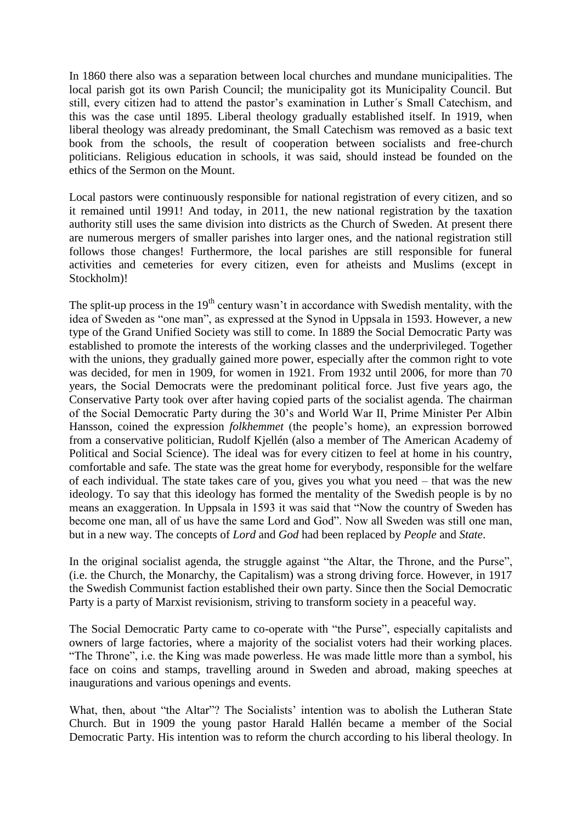In 1860 there also was a separation between local churches and mundane municipalities. The local parish got its own Parish Council; the municipality got its Municipality Council. But still, every citizen had to attend the pastor's examination in Luther´s Small Catechism, and this was the case until 1895. Liberal theology gradually established itself. In 1919, when liberal theology was already predominant, the Small Catechism was removed as a basic text book from the schools, the result of cooperation between socialists and free-church politicians. Religious education in schools, it was said, should instead be founded on the ethics of the Sermon on the Mount.

Local pastors were continuously responsible for national registration of every citizen, and so it remained until 1991! And today, in 2011, the new national registration by the taxation authority still uses the same division into districts as the Church of Sweden. At present there are numerous mergers of smaller parishes into larger ones, and the national registration still follows those changes! Furthermore, the local parishes are still responsible for funeral activities and cemeteries for every citizen, even for atheists and Muslims (except in Stockholm)!

The split-up process in the  $19<sup>th</sup>$  century wasn't in accordance with Swedish mentality, with the idea of Sweden as "one man", as expressed at the Synod in Uppsala in 1593. However, a new type of the Grand Unified Society was still to come. In 1889 the Social Democratic Party was established to promote the interests of the working classes and the underprivileged. Together with the unions, they gradually gained more power, especially after the common right to vote was decided, for men in 1909, for women in 1921. From 1932 until 2006, for more than 70 years, the Social Democrats were the predominant political force. Just five years ago, the Conservative Party took over after having copied parts of the socialist agenda. The chairman of the Social Democratic Party during the 30's and World War II, Prime Minister Per Albin Hansson, coined the expression *folkhemmet* (the people's home), an expression borrowed from a conservative politician, Rudolf Kjellén (also a member of The American Academy of Political and Social Science). The ideal was for every citizen to feel at home in his country, comfortable and safe. The state was the great home for everybody, responsible for the welfare of each individual. The state takes care of you, gives you what you need – that was the new ideology. To say that this ideology has formed the mentality of the Swedish people is by no means an exaggeration. In Uppsala in 1593 it was said that "Now the country of Sweden has become one man, all of us have the same Lord and God". Now all Sweden was still one man, but in a new way. The concepts of *Lord* and *God* had been replaced by *People* and *State*.

In the original socialist agenda, the struggle against "the Altar, the Throne, and the Purse", (i.e. the Church, the Monarchy, the Capitalism) was a strong driving force. However, in 1917 the Swedish Communist faction established their own party. Since then the Social Democratic Party is a party of Marxist revisionism, striving to transform society in a peaceful way.

The Social Democratic Party came to co-operate with "the Purse", especially capitalists and owners of large factories, where a majority of the socialist voters had their working places. "The Throne", i.e. the King was made powerless. He was made little more than a symbol, his face on coins and stamps, travelling around in Sweden and abroad, making speeches at inaugurations and various openings and events.

What, then, about "the Altar"? The Socialists' intention was to abolish the Lutheran State Church. But in 1909 the young pastor Harald Hallén became a member of the Social Democratic Party. His intention was to reform the church according to his liberal theology. In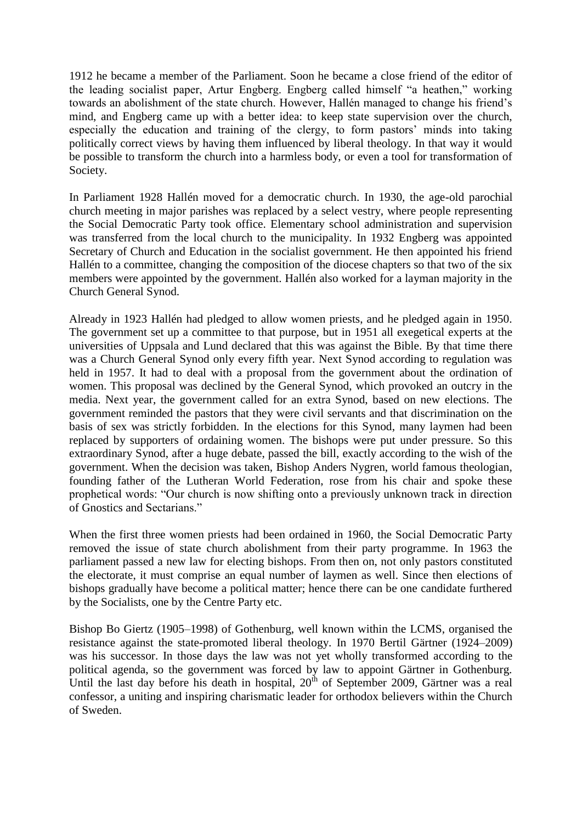1912 he became a member of the Parliament. Soon he became a close friend of the editor of the leading socialist paper, Artur Engberg. Engberg called himself "a heathen," working towards an abolishment of the state church. However, Hallén managed to change his friend's mind, and Engberg came up with a better idea: to keep state supervision over the church, especially the education and training of the clergy, to form pastors' minds into taking politically correct views by having them influenced by liberal theology. In that way it would be possible to transform the church into a harmless body, or even a tool for transformation of Society.

In Parliament 1928 Hallén moved for a democratic church. In 1930, the age-old parochial church meeting in major parishes was replaced by a select vestry, where people representing the Social Democratic Party took office. Elementary school administration and supervision was transferred from the local church to the municipality. In 1932 Engberg was appointed Secretary of Church and Education in the socialist government. He then appointed his friend Hallén to a committee, changing the composition of the diocese chapters so that two of the six members were appointed by the government. Hallén also worked for a layman majority in the Church General Synod.

Already in 1923 Hallén had pledged to allow women priests, and he pledged again in 1950. The government set up a committee to that purpose, but in 1951 all exegetical experts at the universities of Uppsala and Lund declared that this was against the Bible. By that time there was a Church General Synod only every fifth year. Next Synod according to regulation was held in 1957. It had to deal with a proposal from the government about the ordination of women. This proposal was declined by the General Synod, which provoked an outcry in the media. Next year, the government called for an extra Synod, based on new elections. The government reminded the pastors that they were civil servants and that discrimination on the basis of sex was strictly forbidden. In the elections for this Synod, many laymen had been replaced by supporters of ordaining women. The bishops were put under pressure. So this extraordinary Synod, after a huge debate, passed the bill, exactly according to the wish of the government. When the decision was taken, Bishop Anders Nygren, world famous theologian, founding father of the Lutheran World Federation, rose from his chair and spoke these prophetical words: "Our church is now shifting onto a previously unknown track in direction of Gnostics and Sectarians."

When the first three women priests had been ordained in 1960, the Social Democratic Party removed the issue of state church abolishment from their party programme. In 1963 the parliament passed a new law for electing bishops. From then on, not only pastors constituted the electorate, it must comprise an equal number of laymen as well. Since then elections of bishops gradually have become a political matter; hence there can be one candidate furthered by the Socialists, one by the Centre Party etc.

Bishop Bo Giertz (1905–1998) of Gothenburg, well known within the LCMS, organised the resistance against the state-promoted liberal theology. In 1970 Bertil Gärtner (1924–2009) was his successor. In those days the law was not yet wholly transformed according to the political agenda, so the government was forced by law to appoint Gärtner in Gothenburg. Until the last day before his death in hospital,  $20^{th}$  of September 2009, Gärtner was a real confessor, a uniting and inspiring charismatic leader for orthodox believers within the Church of Sweden.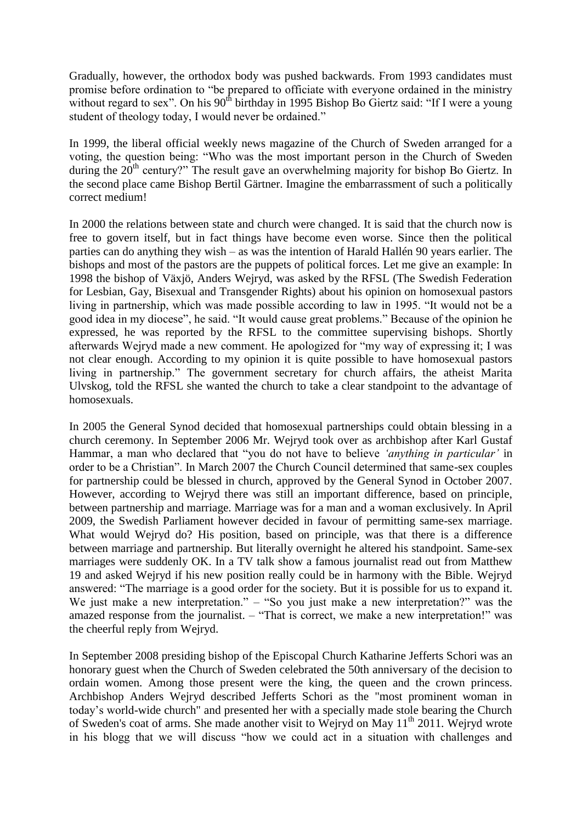Gradually, however, the orthodox body was pushed backwards. From 1993 candidates must promise before ordination to "be prepared to officiate with everyone ordained in the ministry without regard to sex". On his  $90<sup>th</sup>$  birthday in 1995 Bishop Bo Giertz said: "If I were a young student of theology today, I would never be ordained."

In 1999, the liberal official weekly news magazine of the Church of Sweden arranged for a voting, the question being: "Who was the most important person in the Church of Sweden during the  $20<sup>th</sup>$  century?" The result gave an overwhelming majority for bishop Bo Giertz. In the second place came Bishop Bertil Gärtner. Imagine the embarrassment of such a politically correct medium!

In 2000 the relations between state and church were changed. It is said that the church now is free to govern itself, but in fact things have become even worse. Since then the political parties can do anything they wish – as was the intention of Harald Hallén 90 years earlier. The bishops and most of the pastors are the puppets of political forces. Let me give an example: In 1998 the bishop of Växjö, Anders Wejryd, was asked by the RFSL (The Swedish Federation for Lesbian, Gay, Bisexual and Transgender Rights) about his opinion on homosexual pastors living in partnership, which was made possible according to law in 1995. "It would not be a good idea in my diocese", he said. "It would cause great problems." Because of the opinion he expressed, he was reported by the RFSL to the committee supervising bishops. Shortly afterwards Wejryd made a new comment. He apologized for "my way of expressing it; I was not clear enough. According to my opinion it is quite possible to have homosexual pastors living in partnership." The government secretary for church affairs, the atheist Marita Ulvskog, told the RFSL she wanted the church to take a clear standpoint to the advantage of homosexuals.

In 2005 the General Synod decided that homosexual partnerships could obtain blessing in a church ceremony. In September 2006 Mr. Wejryd took over as archbishop after Karl Gustaf Hammar, a man who declared that "you do not have to believe *'anything in particular'* in order to be a Christian". In March 2007 the Church Council determined that same-sex couples for partnership could be blessed in church, approved by the General Synod in October 2007. However, according to Wejryd there was still an important difference, based on principle, between partnership and marriage. Marriage was for a man and a woman exclusively. In April 2009, the Swedish Parliament however decided in favour of permitting same-sex marriage. What would Wejryd do? His position, based on principle, was that there is a difference between marriage and partnership. But literally overnight he altered his standpoint. Same-sex marriages were suddenly OK. In a TV talk show a famous journalist read out from Matthew 19 and asked Wejryd if his new position really could be in harmony with the Bible. Wejryd answered: "The marriage is a good order for the society. But it is possible for us to expand it. We just make a new interpretation." – "So you just make a new interpretation?" was the amazed response from the journalist. – "That is correct, we make a new interpretation!" was the cheerful reply from Wejryd.

In September 2008 presiding bishop of the Episcopal Church Katharine Jefferts Schori was an honorary guest when the Church of Sweden celebrated the 50th anniversary of the decision to ordain women. Among those present were the king, the queen and the crown princess. Archbishop Anders Wejryd described Jefferts Schori as the "most prominent woman in today's world-wide church" and presented her with a specially made stole bearing the Church of Sweden's coat of arms. She made another visit to Wejryd on May 11<sup>th</sup> 2011. Wejryd wrote in his blogg that we will discuss "how we could act in a situation with challenges and